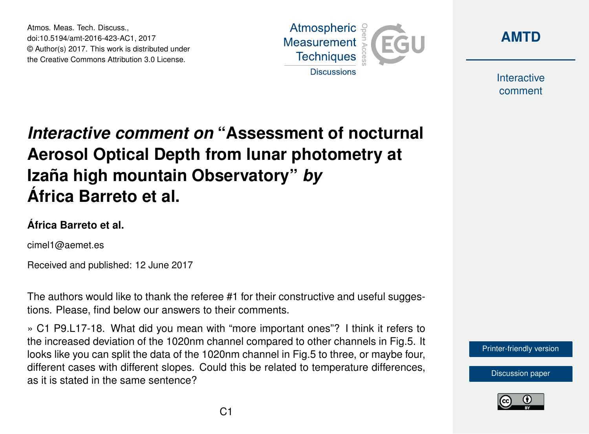Atmos. Meas. Tech. Discuss., doi:10.5194/amt-2016-423-AC1, 2017 © Author(s) 2017. This work is distributed under the Creative Commons Attribution 3.0 License.





Interactive comment

## *Interactive comment on* **"Assessment of nocturnal Aerosol Optical Depth from lunar photometry at Izaña high mountain Observatory"** *by* **África Barreto et al.**

## **África Barreto et al.**

cimel1@aemet.es

Received and published: 12 June 2017

The authors would like to thank the referee #1 for their constructive and useful suggestions. Please, find below our answers to their comments.

» C1 P9.L17-18. What did you mean with "more important ones"? I think it refers to the increased deviation of the 1020nm channel compared to other channels in Fig.5. It looks like you can split the data of the 1020nm channel in Fig.5 to three, or maybe four, different cases with different slopes. Could this be related to temperature differences, as it is stated in the same sentence?



[Discussion paper](http://www.atmos-meas-tech-discuss.net/amt-2016-423)

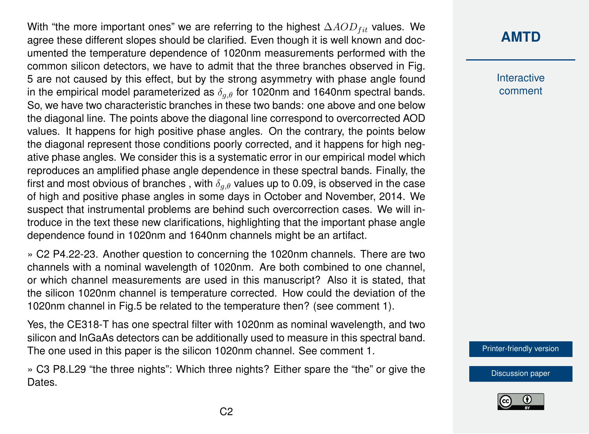With "the more important ones" we are referring to the highest  $\Delta AOD_{fit}$  values. We agree these different slopes should be clarified. Even though it is well known and documented the temperature dependence of 1020nm measurements performed with the common silicon detectors, we have to admit that the three branches observed in Fig. 5 are not caused by this effect, but by the strong asymmetry with phase angle found in the empirical model parameterized as  $\delta_{a,\theta}$  for 1020nm and 1640nm spectral bands. So, we have two characteristic branches in these two bands: one above and one below the diagonal line. The points above the diagonal line correspond to overcorrected AOD values. It happens for high positive phase angles. On the contrary, the points below the diagonal represent those conditions poorly corrected, and it happens for high negative phase angles. We consider this is a systematic error in our empirical model which reproduces an amplified phase angle dependence in these spectral bands. Finally, the first and most obvious of branches, with  $\delta_{a,\theta}$  values up to 0.09, is observed in the case of high and positive phase angles in some days in October and November, 2014. We suspect that instrumental problems are behind such overcorrection cases. We will introduce in the text these new clarifications, highlighting that the important phase angle dependence found in 1020nm and 1640nm channels might be an artifact.

» C2 P4.22-23. Another question to concerning the 1020nm channels. There are two channels with a nominal wavelength of 1020nm. Are both combined to one channel, or which channel measurements are used in this manuscript? Also it is stated, that the silicon 1020nm channel is temperature corrected. How could the deviation of the 1020nm channel in Fig.5 be related to the temperature then? (see comment 1).

Yes, the CE318-T has one spectral filter with 1020nm as nominal wavelength, and two silicon and InGaAs detectors can be additionally used to measure in this spectral band. The one used in this paper is the silicon 1020nm channel. See comment 1.

» C3 P8.L29 "the three nights": Which three nights? Either spare the "the" or give the Dates.

## **[AMTD](http://www.atmos-meas-tech-discuss.net/)**

**Interactive** comment

[Printer-friendly version](http://www.atmos-meas-tech-discuss.net/amt-2016-423/amt-2016-423-AC1-print.pdf)

[Discussion paper](http://www.atmos-meas-tech-discuss.net/amt-2016-423)